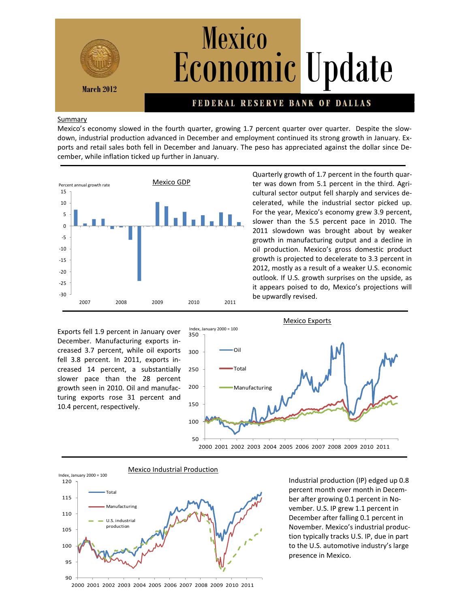

## Mexico Economic Update

## FEDERAL RESERVE BANK OF DALLAS

## Summary

Mexico's economy slowed in the fourth quarter, growing 1.7 percent quarter over quarter. Despite the slowdown, industrial production advanced in December and employment continued its strong growth in January. Exports and retail sales both fell in December and January. The peso has appreciated against the dollar since December, while inflation ticked up further in January.



Exports fell 1.9 percent in January over December. Manufacturing exports increased 3.7 percent, while oil exports fell 3.8 percent. In 2011, exports increased 14 percent, a substantially slower pace than the 28 percent growth seen in 2010. Oil and manufacturing exports rose 31 percent and 10.4 percent, respectively.

Index, January 2000 = 100 Mexico Exports 2012, mostly as a result of a weaker U.S. economic outlook. If U.S. growth surprises on the upside, as it appears poised to do, Mexico's projections will be upwardly revised. Oil Total Manufacturing

Quarterly growth of 1.7 percent in the fourth quarter was down from 5.1 percent in the third. Agricultural sector output fell sharply and services decelerated, while the industrial sector picked up. For the year, Mexico's economy grew 3.9 percent, slower than the 5.5 percent pace in 2010. The 2011 slowdown was brought about by weaker growth in manufacturing output and a decline in oil production. Mexico's gross domestic product growth is projected to decelerate to 3.3 percent in





150

200

250

300

350

Industrial production (IP) edged up 0.8 percent month over month in December after growing 0.1 percent in November. U.S. IP grew 1.1 percent in December after falling 0.1 percent in November. Mexico's industrial production typically tracks U.S. IP, due in part to the U.S. automotive industry's large presence in Mexico.